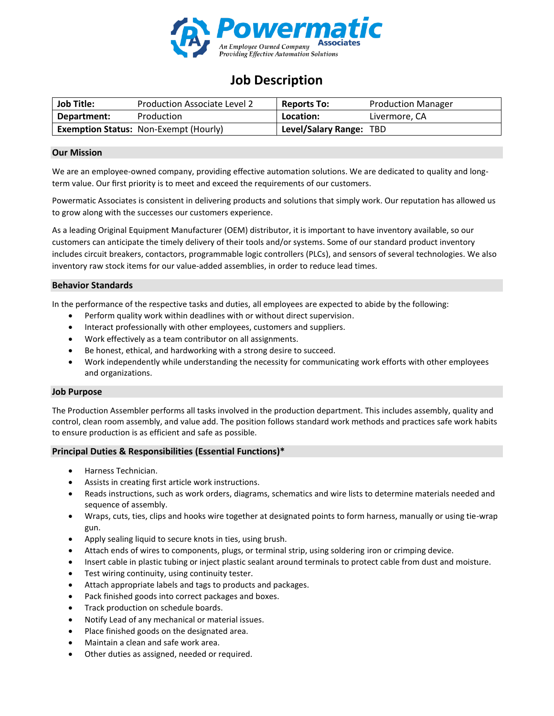

# **Job Description**

| <b>Job Title:</b> | Production Associate Level 2                 | <b>Reports To:</b>      | <b>Production Manager</b> |
|-------------------|----------------------------------------------|-------------------------|---------------------------|
| Department:       | Production                                   | Location:               | Livermore, CA             |
|                   | <b>Exemption Status: Non-Exempt (Hourly)</b> | Level/Salary Range: TBD |                           |

## **Our Mission**

We are an employee-owned company, providing effective automation solutions. We are dedicated to quality and longterm value. Our first priority is to meet and exceed the requirements of our customers.

Powermatic Associates is consistent in delivering products and solutions that simply work. Our reputation has allowed us to grow along with the successes our customers experience.

As a leading Original Equipment Manufacturer (OEM) distributor, it is important to have inventory available, so our customers can anticipate the timely delivery of their tools and/or systems. Some of our standard product inventory includes circuit breakers, contactors, programmable logic controllers (PLCs), and sensors of several technologies. We also inventory raw stock items for our value-added assemblies, in order to reduce lead times.

## **Behavior Standards**

In the performance of the respective tasks and duties, all employees are expected to abide by the following:

- Perform quality work within deadlines with or without direct supervision.
- Interact professionally with other employees, customers and suppliers.
- Work effectively as a team contributor on all assignments.
- Be honest, ethical, and hardworking with a strong desire to succeed.
- Work independently while understanding the necessity for communicating work efforts with other employees and organizations.

## **Job Purpose**

The Production Assembler performs all tasks involved in the production department. This includes assembly, quality and control, clean room assembly, and value add. The position follows standard work methods and practices safe work habits to ensure production is as efficient and safe as possible.

## **Principal Duties & Responsibilities (Essential Functions)\***

- Harness Technician.
- Assists in creating first article work instructions.
- Reads instructions, such as work orders, diagrams, schematics and wire lists to determine materials needed and sequence of assembly.
- Wraps, cuts, ties, clips and hooks wire together at designated points to form harness, manually or using tie-wrap gun.
- Apply sealing liquid to secure knots in ties, using brush.
- Attach ends of wires to components, plugs, or terminal strip, using soldering iron or crimping device.
- Insert cable in plastic tubing or inject plastic sealant around terminals to protect cable from dust and moisture.
- Test wiring continuity, using continuity tester.
- Attach appropriate labels and tags to products and packages.
- Pack finished goods into correct packages and boxes.
- Track production on schedule boards.
- Notify Lead of any mechanical or material issues.
- Place finished goods on the designated area.
- Maintain a clean and safe work area.
- Other duties as assigned, needed or required.